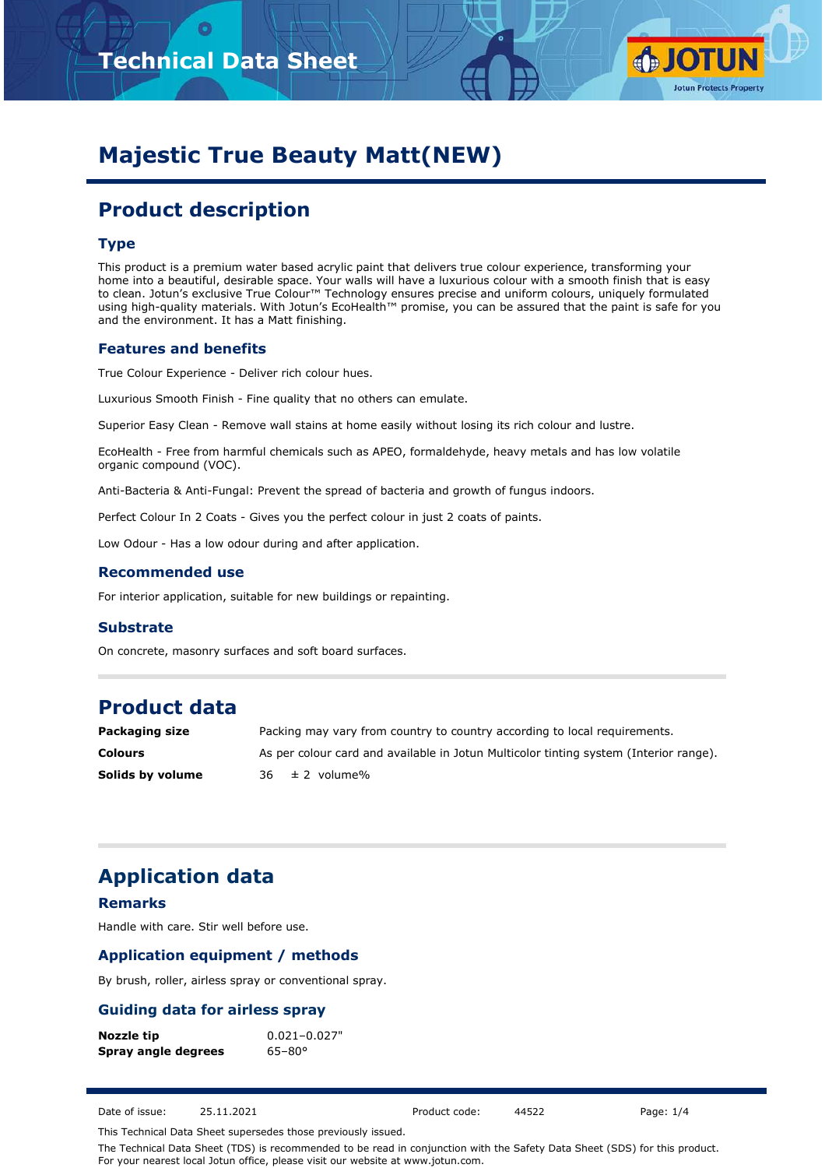



# **Majestic True Beauty Matt(NEW)**

# **Product description**

#### **Type**

This product is a premium water based acrylic paint that delivers true colour experience, transforming your home into a beautiful, desirable space. Your walls will have a luxurious colour with a smooth finish that is easy to clean. Jotun's exclusive True Colour™ Technology ensures precise and uniform colours, uniquely formulated using high-quality materials. With Jotun's EcoHealth™ promise, you can be assured that the paint is safe for you and the environment. It has a Matt finishing.

#### **Features and benefits**

True Colour Experience - Deliver rich colour hues.

Luxurious Smooth Finish - Fine quality that no others can emulate.

Superior Easy Clean - Remove wall stains at home easily without losing its rich colour and lustre.

EcoHealth - Free from harmful chemicals such as APEO, formaldehyde, heavy metals and has low volatile organic compound (VOC).

Anti-Bacteria & Anti-Fungal: Prevent the spread of bacteria and growth of fungus indoors.

Perfect Colour In 2 Coats - Gives you the perfect colour in just 2 coats of paints.

Low Odour - Has a low odour during and after application.

#### **Recommended use**

For interior application, suitable for new buildings or repainting.

#### **Substrate**

On concrete, masonry surfaces and soft board surfaces.

### **Product data**

| Packaging size   | Packing may vary from country to country according to local requirements.             |
|------------------|---------------------------------------------------------------------------------------|
| <b>Colours</b>   | As per colour card and available in Jotun Multicolor tinting system (Interior range). |
| Solids by volume | $36 \pm 2$ volume%                                                                    |

### **Application data**

#### **Remarks**

Handle with care. Stir well before use.

#### **Application equipment / methods**

By brush, roller, airless spray or conventional spray.

#### **Guiding data for airless spray**

| Nozzle tip          | $0.021 - 0.027"$  |  |  |  |  |
|---------------------|-------------------|--|--|--|--|
| Spray angle degrees | $65 - 80^{\circ}$ |  |  |  |  |

Date of issue: 25.11.2021 Product code: 44522 Page: 1/4

This Technical Data Sheet supersedes those previously issued.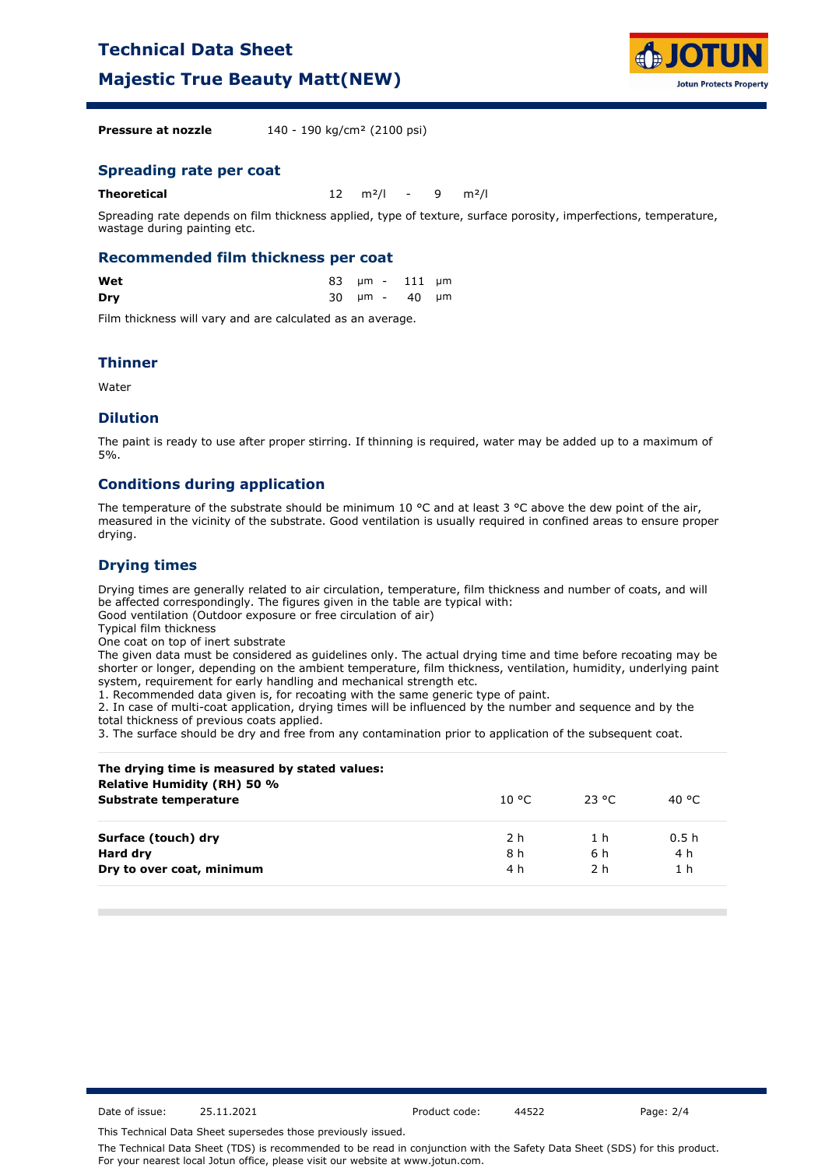### **Technical Data Sheet**

**Majestic True Beauty Matt(NEW)**



**Pressure at nozzle** 140 - 190 kg/cm<sup>2</sup> (2100 psi)

#### **Spreading rate per coat**

| Theoretical<br>12 $m^2/l$ - 9 $m^2/l$ |  |
|---------------------------------------|--|
|---------------------------------------|--|

Spreading rate depends on film thickness applied, type of texture, surface porosity, imperfections, temperature, wastage during painting etc.

#### **Recommended film thickness per coat**

| Wet |  | 83 µm - 111 µm |  |
|-----|--|----------------|--|
| Dry |  | 30 µm - 40 µm  |  |

Film thickness will vary and are calculated as an average.

#### **Thinner**

Water

#### **Dilution**

The paint is ready to use after proper stirring. If thinning is required, water may be added up to a maximum of 5%.

#### **Conditions during application**

The temperature of the substrate should be minimum 10 °C and at least 3 °C above the dew point of the air, measured in the vicinity of the substrate. Good ventilation is usually required in confined areas to ensure proper drying.

#### **Drying times**

Drying times are generally related to air circulation, temperature, film thickness and number of coats, and will be affected correspondingly. The figures given in the table are typical with:

Good ventilation (Outdoor exposure or free circulation of air)

Typical film thickness

One coat on top of inert substrate

The given data must be considered as guidelines only. The actual drying time and time before recoating may be shorter or longer, depending on the ambient temperature, film thickness, ventilation, humidity, underlying paint system, requirement for early handling and mechanical strength etc.

1. Recommended data given is, for recoating with the same generic type of paint.

2. In case of multi-coat application, drying times will be influenced by the number and sequence and by the total thickness of previous coats applied.

3. The surface should be dry and free from any contamination prior to application of the subsequent coat.

| The drying time is measured by stated values:<br>Relative Humidity (RH) 50 % |        |        |                  |
|------------------------------------------------------------------------------|--------|--------|------------------|
| Substrate temperature                                                        | 10 °C. | -23 °C | 40 °C            |
| Surface (touch) dry                                                          | 2 h    | 1 h    | 0.5 <sub>h</sub> |
| Hard dry                                                                     | 8 h    | 6 h    | 4 h              |
| Dry to over coat, minimum                                                    | 4 h    | 2 h    | 1 <sub>h</sub>   |

Date of issue: 25.11.2021 Product code: 44522 Page: 2/4

This Technical Data Sheet supersedes those previously issued.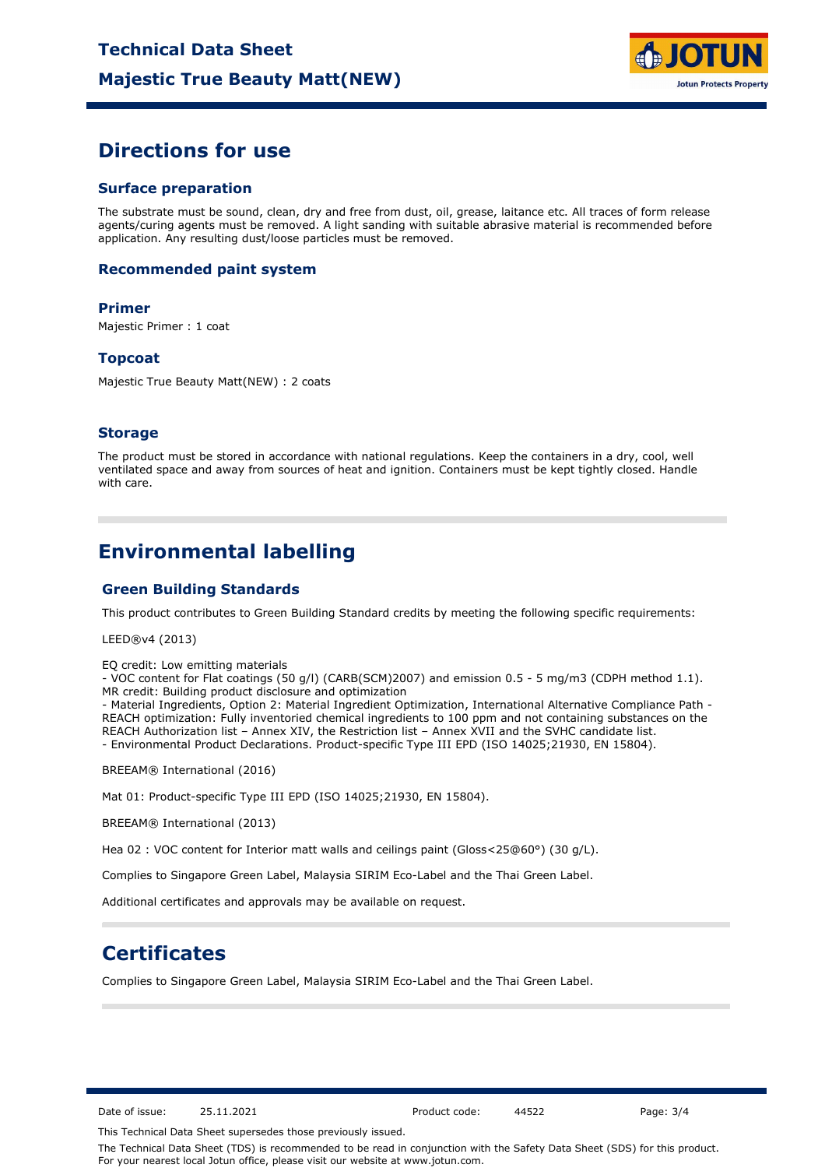

### **Directions for use**

#### **Surface preparation**

The substrate must be sound, clean, dry and free from dust, oil, grease, laitance etc. All traces of form release agents/curing agents must be removed. A light sanding with suitable abrasive material is recommended before application. Any resulting dust/loose particles must be removed.

#### **Recommended paint system**

#### **Primer**

Majestic Primer : 1 coat

#### **Topcoat**

Majestic True Beauty Matt(NEW) : 2 coats

#### **Storage**

The product must be stored in accordance with national regulations. Keep the containers in a dry, cool, well ventilated space and away from sources of heat and ignition. Containers must be kept tightly closed. Handle with care.

### **Environmental labelling**

#### **Green Building Standards**

This product contributes to Green Building Standard credits by meeting the following specific requirements:

LEED®v4 (2013)

EQ credit: Low emitting materials

- VOC content for Flat coatings (50 g/l) (CARB(SCM)2007) and emission 0.5 - 5 mg/m3 (CDPH method 1.1). MR credit: Building product disclosure and optimization

- Material Ingredients, Option 2: Material Ingredient Optimization, International Alternative Compliance Path - REACH optimization: Fully inventoried chemical ingredients to 100 ppm and not containing substances on the REACH Authorization list – Annex XIV, the Restriction list – Annex XVII and the SVHC candidate list. - Environmental Product Declarations. Product-specific Type III EPD (ISO 14025;21930, EN 15804).

BREEAM® International (2016)

Mat 01: Product-specific Type III EPD (ISO 14025;21930, EN 15804).

BREEAM® International (2013)

Hea 02 : VOC content for Interior matt walls and ceilings paint (Gloss<25@60°) (30 g/L).

Complies to Singapore Green Label, Malaysia SIRIM Eco-Label and the Thai Green Label.

Additional certificates and approvals may be available on request.

### **Certificates**

Complies to Singapore Green Label, Malaysia SIRIM Eco-Label and the Thai Green Label.

Date of issue: 25.11.2021 Product code: 44522 Page: 3/4

This Technical Data Sheet supersedes those previously issued.